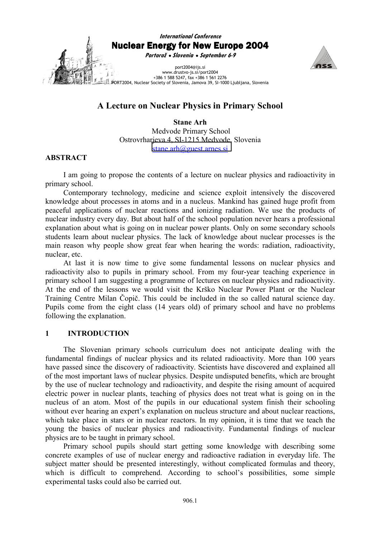

# **A Lecture on Nuclear Physics in Primary School**

**Stane Arh**  Medvode Primary School Ostrovrharjeva 4, SI-1215 Medvode, Slovenia [stane.arh@guest.arnes.si](mailto:stane.arh@guest.arnes.si)

# **ABSTRACT**

I am going to propose the contents of a lecture on nuclear physics and radioactivity in primary school.

Contemporary technology, medicine and science exploit intensively the discovered knowledge about processes in atoms and in a nucleus. Mankind has gained huge profit from peaceful applications of nuclear reactions and ionizing radiation. We use the products of nuclear industry every day. But about half of the school population never hears a professional explanation about what is going on in nuclear power plants. Only on some secondary schools students learn about nuclear physics. The lack of knowledge about nuclear processes is the main reason why people show great fear when hearing the words: radiation, radioactivity, nuclear, etc.

At last it is now time to give some fundamental lessons on nuclear physics and radioactivity also to pupils in primary school. From my four-year teaching experience in primary school I am suggesting a programme of lectures on nuclear physics and radioactivity. At the end of the lessons we would visit the Krško Nuclear Power Plant or the Nuclear Training Centre Milan Čopič. This could be included in the so called natural science day. Pupils come from the eight class (14 years old) of primary school and have no problems following the explanation.

# **1 INTRODUCTION**

The Slovenian primary schools curriculum does not anticipate dealing with the fundamental findings of nuclear physics and its related radioactivity. More than 100 years have passed since the discovery of radioactivity. Scientists have discovered and explained all of the most important laws of nuclear physics. Despite undisputed benefits, which are brought by the use of nuclear technology and radioactivity, and despite the rising amount of acquired electric power in nuclear plants, teaching of physics does not treat what is going on in the nucleus of an atom. Most of the pupils in our educational system finish their schooling without ever hearing an expert's explanation on nucleus structure and about nuclear reactions, which take place in stars or in nuclear reactors. In my opinion, it is time that we teach the young the basics of nuclear physics and radioactivity. Fundamental findings of nuclear physics are to be taught in primary school.

Primary school pupils should start getting some knowledge with describing some concrete examples of use of nuclear energy and radioactive radiation in everyday life. The subject matter should be presented interestingly, without complicated formulas and theory, which is difficult to comprehend. According to school's possibilities, some simple experimental tasks could also be carried out.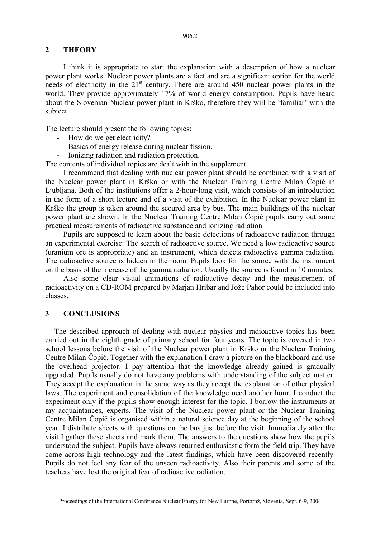# **2 THEORY**

I think it is appropriate to start the explanation with a description of how a nuclear power plant works. Nuclear power plants are a fact and are a significant option for the world needs of electricity in the  $21<sup>st</sup>$  century. There are around 450 nuclear power plants in the world. They provide approximately 17% of world energy consumption. Pupils have heard about the Slovenian Nuclear power plant in Krško, therefore they will be 'familiar' with the subject.

The lecture should present the following topics:

- How do we get electricity?
- Basics of energy release during nuclear fission.
- Ionizing radiation and radiation protection.

The contents of individual topics are dealt with in the supplement.

I recommend that dealing with nuclear power plant should be combined with a visit of the Nuclear power plant in Krško or with the Nuclear Training Centre Milan Čopič in Ljubljana. Both of the institutions offer a 2-hour-long visit, which consists of an introduction in the form of a short lecture and of a visit of the exhibition. In the Nuclear power plant in Krško the group is taken around the secured area by bus. The main buildings of the nuclear power plant are shown. In the Nuclear Training Centre Milan Čopič pupils carry out some practical measurements of radioactive substance and ionizing radiation.

Pupils are supposed to learn about the basic detections of radioactive radiation through an experimental exercise: The search of radioactive source. We need a low radioactive source (uranium ore is appropriate) and an instrument, which detects radioactive gamma radiation. The radioactive source is hidden in the room. Pupils look for the source with the instrument on the basis of the increase of the gamma radiation. Usually the source is found in 10 minutes.

Also some clear visual animations of radioactive decay and the measurement of radioactivity on a CD-ROM prepared by Marjan Hribar and Jože Pahor could be included into classes.

#### **3 CONCLUSIONS**

The described approach of dealing with nuclear physics and radioactive topics has been carried out in the eighth grade of primary school for four years. The topic is covered in two school lessons before the visit of the Nuclear power plant in Krško or the Nuclear Training Centre Milan Čopič. Together with the explanation I draw a picture on the blackboard and use the overhead projector. I pay attention that the knowledge already gained is gradually upgraded. Pupils usually do not have any problems with understanding of the subject matter. They accept the explanation in the same way as they accept the explanation of other physical laws. The experiment and consolidation of the knowledge need another hour. I conduct the experiment only if the pupils show enough interest for the topic. I borrow the instruments at my acquaintances, experts. The visit of the Nuclear power plant or the Nuclear Training Centre Milan Čopič is organised within a natural science day at the beginning of the school year. I distribute sheets with questions on the bus just before the visit. Immediately after the visit I gather these sheets and mark them. The answers to the questions show how the pupils understood the subject. Pupils have always returned enthusiastic form the field trip. They have come across high technology and the latest findings, which have been discovered recently. Pupils do not feel any fear of the unseen radioactivity. Also their parents and some of the teachers have lost the original fear of radioactive radiation.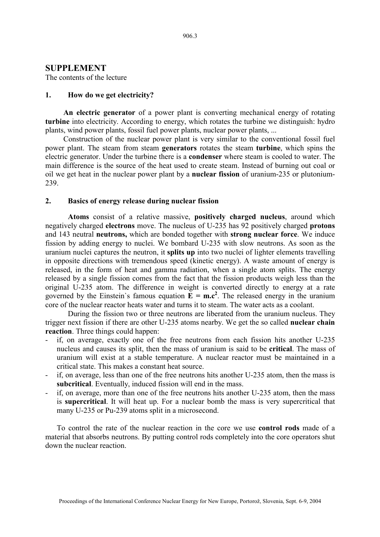#### **SUPPLEMENT**

The contents of the lecture

## **1. How do we get electricity?**

**An electric generator** of a power plant is converting mechanical energy of rotating **turbine** into electricity. According to energy, which rotates the turbine we distinguish: hydro plants, wind power plants, fossil fuel power plants, nuclear power plants, ...

Construction of the nuclear power plant is very similar to the conventional fossil fuel power plant. The steam from steam **generators** rotates the steam **turbine**, which spins the electric generator. Under the turbine there is a **condenser** where steam is cooled to water. The main difference is the source of the heat used to create steam. Instead of burning out coal or oil we get heat in the nuclear power plant by a **nuclear fission** of uranium-235 or plutonium-239.

## **2. Basics of energy release during nuclear fission**

**Atoms** consist of a relative massive, **positively charged nucleus**, around which negatively charged **electrons** move. The nucleus of U-235 has 92 positively charged **protons** and 143 neutral **neutrons,** which are bonded together with **strong nuclear force**. We induce fission by adding energy to nuclei. We bombard U-235 with slow neutrons. As soon as the uranium nuclei captures the neutron, it **splits up** into two nuclei of lighter elements travelling in opposite directions with tremendous speed (kinetic energy). A waste amount of energy is released, in the form of heat and gamma radiation, when a single atom splits. The energy released by a single fission comes from the fact that the fission products weigh less than the original U-235 atom. The difference in weight is converted directly to energy at a rate governed by the Einstein's famous equation  $\mathbf{\overline{E}} = \mathbf{m} \cdot \mathbf{c}^2$ . The released energy in the uranium core of the nuclear reactor heats water and turns it to steam. The water acts as a coolant.

During the fission two or three neutrons are liberated from the uranium nucleus. They trigger next fission if there are other U-235 atoms nearby. We get the so called **nuclear chain reaction**. Three things could happen:

- if, on average, exactly one of the free neutrons from each fission hits another U-235 nucleus and causes its split, then the mass of uranium is said to be **critical**. The mass of uranium will exist at a stable temperature. A nuclear reactor must be maintained in a critical state. This makes a constant heat source.
- if, on average, less than one of the free neutrons hits another U-235 atom, then the mass is **subcritical**. Eventually, induced fission will end in the mass.
- if, on average, more than one of the free neutrons hits another U-235 atom, then the mass is **supercritical**. It will heat up. For a nuclear bomb the mass is very supercritical that many U-235 or Pu-239 atoms split in a microsecond.

To control the rate of the nuclear reaction in the core we use **control rods** made of a material that absorbs neutrons. By putting control rods completely into the core operators shut down the nuclear reaction.